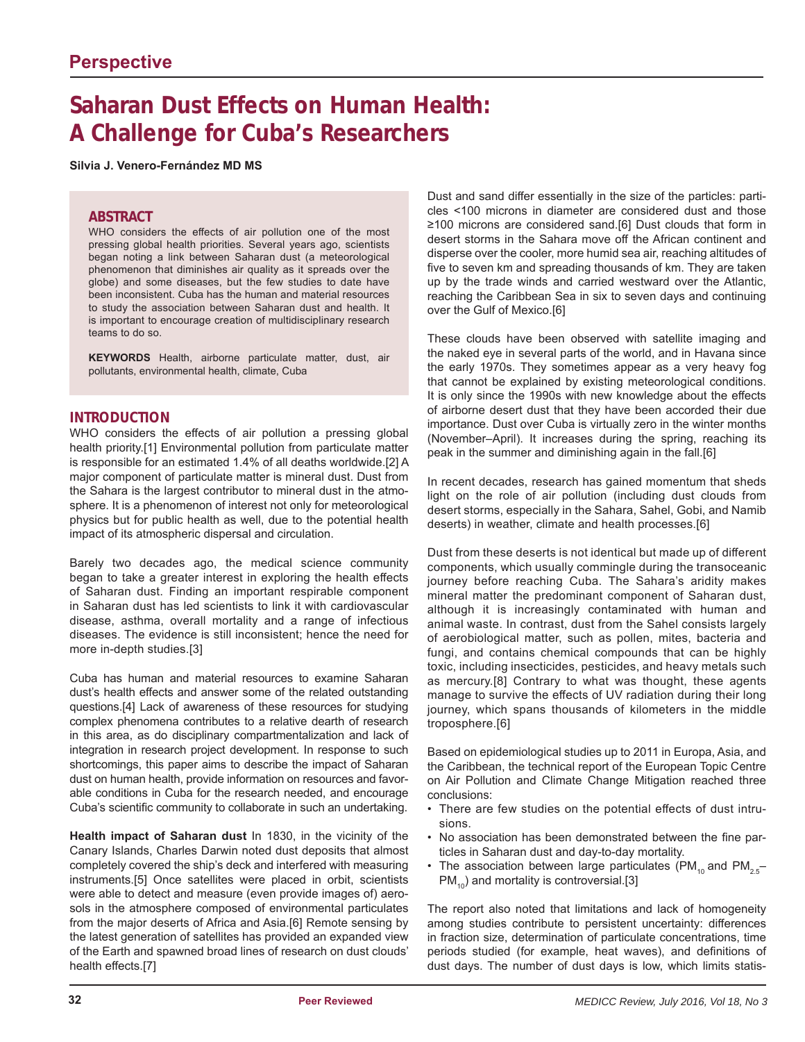# **Saharan Dust Effects on Human Health: A Challenge for Cuba's Researchers**

**Silvia J. Venero-Fernández MD MS**

#### **ABSTRACT**

WHO considers the effects of air pollution one of the most pressing global health priorities. Several years ago, scientists began noting a link between Saharan dust (a meteorological phenomenon that diminishes air quality as it spreads over the globe) and some diseases, but the few studies to date have been inconsistent. Cuba has the human and material resources to study the association between Saharan dust and health. It is important to encourage creation of multidisciplinary research teams to do so.

**KEYWORDS** Health, airborne particulate matter, dust, air pollutants, environmental health, climate, Cuba

#### **INTRODUCTION**

WHO considers the effects of air pollution a pressing global health priority.[1] Environmental pollution from particulate matter is responsible for an estimated 1.4% of all deaths worldwide.[2] A major component of particulate matter is mineral dust. Dust from the Sahara is the largest contributor to mineral dust in the atmosphere. It is a phenomenon of interest not only for meteorological physics but for public health as well, due to the potential health impact of its atmospheric dispersal and circulation.

Barely two decades ago, the medical science community began to take a greater interest in exploring the health effects of Saharan dust. Finding an important respirable component in Saharan dust has led scientists to link it with cardiovascular disease, asthma, overall mortality and a range of infectious diseases. The evidence is still inconsistent; hence the need for more in-depth studies.[3]

Cuba has human and material resources to examine Saharan dust's health effects and answer some of the related outstanding questions.[4] Lack of awareness of these resources for studying complex phenomena contributes to a relative dearth of research in this area, as do disciplinary compartmentalization and lack of integration in research project development. In response to such shortcomings, this paper aims to describe the impact of Saharan dust on human health, provide information on resources and favorable conditions in Cuba for the research needed, and encourage Cuba's scientific community to collaborate in such an undertaking.

**Health impact of Saharan dust** In 1830, in the vicinity of the Canary Islands, Charles Darwin noted dust deposits that almost completely covered the ship's deck and interfered with measuring instruments.[5] Once satellites were placed in orbit, scientists were able to detect and measure (even provide images of) aerosols in the atmosphere composed of environmental particulates from the major deserts of Africa and Asia.[6] Remote sensing by the latest generation of satellites has provided an expanded view of the Earth and spawned broad lines of research on dust clouds' health effects.[7]

Dust and sand differ essentially in the size of the particles: particles <100 microns in diameter are considered dust and those ≥100 microns are considered sand.[6] Dust clouds that form in desert storms in the Sahara move off the African continent and disperse over the cooler, more humid sea air, reaching altitudes of five to seven km and spreading thousands of km. They are taken up by the trade winds and carried westward over the Atlantic, reaching the Caribbean Sea in six to seven days and continuing over the Gulf of Mexico.[6]

These clouds have been observed with satellite imaging and the naked eye in several parts of the world, and in Havana since the early 1970s. They sometimes appear as a very heavy fog that cannot be explained by existing meteorological conditions. It is only since the 1990s with new knowledge about the effects of airborne desert dust that they have been accorded their due importance. Dust over Cuba is virtually zero in the winter months (November–April). It increases during the spring, reaching its peak in the summer and diminishing again in the fall.[6]

In recent decades, research has gained momentum that sheds light on the role of air pollution (including dust clouds from desert storms, especially in the Sahara, Sahel, Gobi, and Namib deserts) in weather, climate and health processes.[6]

Dust from these deserts is not identical but made up of different components, which usually commingle during the transoceanic journey before reaching Cuba. The Sahara's aridity makes mineral matter the predominant component of Saharan dust, although it is increasingly contaminated with human and animal waste. In contrast, dust from the Sahel consists largely of aerobiological matter, such as pollen, mites, bacteria and fungi, and contains chemical compounds that can be highly toxic, including insecticides, pesticides, and heavy metals such as mercury.[8] Contrary to what was thought, these agents manage to survive the effects of UV radiation during their long journey, which spans thousands of kilometers in the middle troposphere.[6]

Based on epidemiological studies up to 2011 in Europa, Asia, and the Caribbean, the technical report of the European Topic Centre on Air Pollution and Climate Change Mitigation reached three conclusions:

- There are few studies on the potential effects of dust intrusions.
- No association has been demonstrated between the fine particles in Saharan dust and day-to-day mortality.
- The association between large particulates (PM<sub>10</sub> and PM<sub>2.5</sub>–  $PM_{10}$ ) and mortality is controversial.[3]

The report also noted that limitations and lack of homogeneity among studies contribute to persistent uncertainty: differences in fraction size, determination of particulate concentrations, time periods studied (for example, heat waves), and definitions of dust days. The number of dust days is low, which limits statis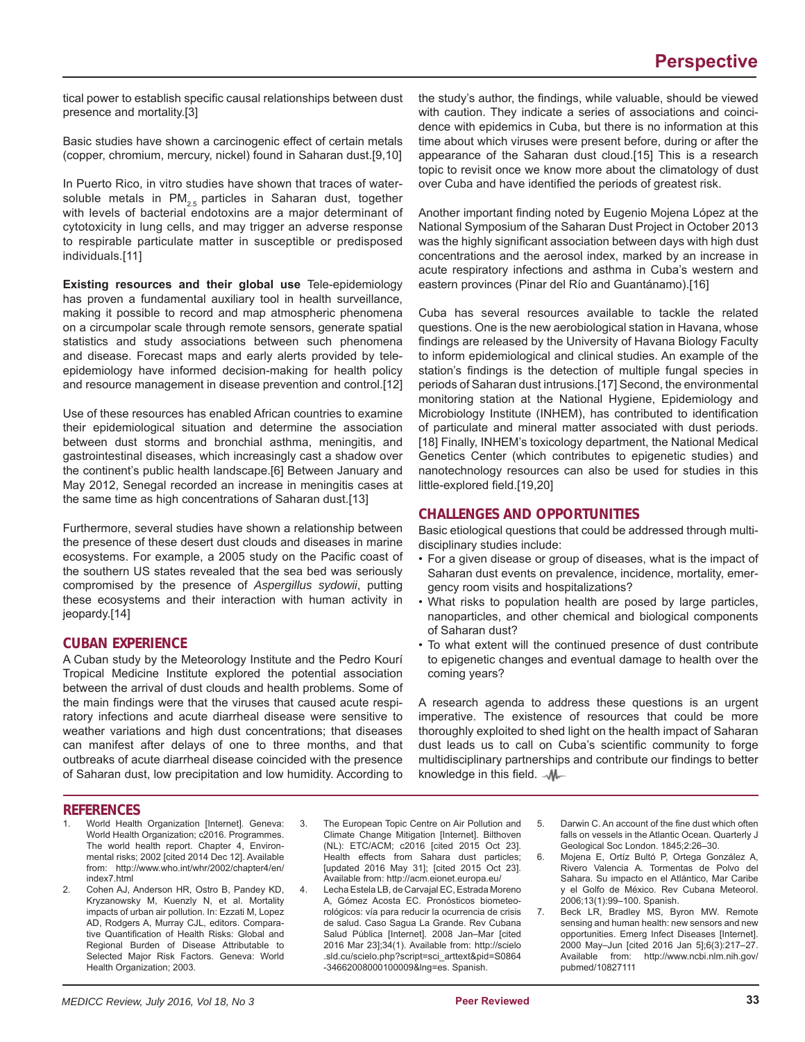tical power to establish specific causal relationships between dust presence and mortality.[3]

Basic studies have shown a carcinogenic effect of certain metals (copper, chromium, mercury, nickel) found in Saharan dust.[9,10]

In Puerto Rico, in vitro studies have shown that traces of watersoluble metals in  $PM_{2.5}$  particles in Saharan dust, together with levels of bacterial endotoxins are a major determinant of cytotoxicity in lung cells, and may trigger an adverse response to respirable particulate matter in susceptible or predisposed individuals.[11]

**Existing resources and their global use** Tele-epidemiology has proven a fundamental auxiliary tool in health surveillance, making it possible to record and map atmospheric phenomena on a circumpolar scale through remote sensors, generate spatial statistics and study associations between such phenomena and disease. Forecast maps and early alerts provided by teleepidemiology have informed decision-making for health policy and resource management in disease prevention and control.[12]

Use of these resources has enabled African countries to examine their epidemiological situation and determine the association between dust storms and bronchial asthma, meningitis, and gastrointestinal diseases, which increasingly cast a shadow over the continent's public health landscape.[6] Between January and May 2012, Senegal recorded an increase in meningitis cases at the same time as high concentrations of Saharan dust.[13]

Furthermore, several studies have shown a relationship between the presence of these desert dust clouds and diseases in marine ecosystems. For example, a 2005 study on the Pacific coast of the southern US states revealed that the sea bed was seriously compromised by the presence of *Aspergillus sydowii*, putting these ecosystems and their interaction with human activity in jeopardy.[14]

#### **CUBAN EXPERIENCE**

A Cuban study by the Meteorology Institute and the Pedro Kourí Tropical Medicine Institute explored the potential association between the arrival of dust clouds and health problems. Some of the main findings were that the viruses that caused acute respiratory infections and acute diarrheal disease were sensitive to weather variations and high dust concentrations; that diseases can manifest after delays of one to three months, and that outbreaks of acute diarrheal disease coincided with the presence of Saharan dust, low precipitation and low humidity. According to

the study's author, the findings, while valuable, should be viewed with caution. They indicate a series of associations and coincidence with epidemics in Cuba, but there is no information at this time about which viruses were present before, during or after the appearance of the Saharan dust cloud.[15] This is a research topic to revisit once we know more about the climatology of dust over Cuba and have identified the periods of greatest risk.

Another important finding noted by Eugenio Mojena López at the National Symposium of the Saharan Dust Project in October 2013 was the highly significant association between days with high dust concentrations and the aerosol index, marked by an increase in acute respiratory infections and asthma in Cuba's western and eastern provinces (Pinar del Río and Guantánamo).[16]

Cuba has several resources available to tackle the related questions. One is the new aerobiological station in Havana, whose findings are released by the University of Havana Biology Faculty to inform epidemiological and clinical studies. An example of the station's findings is the detection of multiple fungal species in periods of Saharan dust intrusions.[17] Second, the environmental monitoring station at the National Hygiene, Epidemiology and Microbiology Institute (INHEM), has contributed to identification of particulate and mineral matter associated with dust periods. [18] Finally, INHEM's toxicology department, the National Medical Genetics Center (which contributes to epigenetic studies) and nanotechnology resources can also be used for studies in this little-explored field.[19,20]

#### **CHALLENGES AND OPPORTUNITIES**

Basic etiological questions that could be addressed through multidisciplinary studies include:

- For a given disease or group of diseases, what is the impact of Saharan dust events on prevalence, incidence, mortality, emergency room visits and hospitalizations?
- What risks to population health are posed by large particles, nanoparticles, and other chemical and biological components of Saharan dust?
- To what extent will the continued presence of dust contribute to epigenetic changes and eventual damage to health over the coming years?

A research agenda to address these questions is an urgent imperative. The existence of resources that could be more thoroughly exploited to shed light on the health impact of Saharan dust leads us to call on Cuba's scientific community to forge multidisciplinary partnerships and contribute our findings to better knowledge in this field.  $-M -$ 

#### **REFERENCES**

- World Health Organization [Internet]. Geneva: World Health Organization; c2016. Programmes. The world health report. Chapter 4, Environmental risks; 2002 [cited 2014 Dec 12]. Available from: http://www.who.int/whr/2002/chapter4/en/ index7.html
- 2. Cohen AJ, Anderson HR, Ostro B, Pandey KD, Kryzanowsky M, Kuenzly N, et al. Mortality impacts of urban air pollution. In: Ezzati M, Lopez AD, Rodgers A, Murray CJL, editors. Comparative Quantification of Health Risks: Global and Regional Burden of Disease Attributable to Selected Major Risk Factors. Geneva: World Health Organization; 2003.
- 3. The European Topic Centre on Air Pollution and Climate Change Mitigation [Internet]. Bilthoven (NL): ETC/ACM; c2016 [cited 2015 Oct 23]. Health effects from Sahara dust particles; [updated 2016 May 31]; [cited 2015 Oct 23]. Available from: http://acm.eionet.europa.eu/
- 4. Lecha Estela LB, de Carvajal EC, Estrada Moreno A, Gómez Acosta EC. Pronósticos biometeorológicos: vía para reducir la ocurrencia de crisis de salud. Caso Sagua La Grande. Rev Cubana Salud Pública [Internet]. 2008 Jan–Mar [cited 2016 Mar 23];34(1). Available from: http://scielo .sld.cu/scielo.php?script=sci\_arttext&pid=S0864 -34662008000100009&lng=es. Spanish.
- 5. Darwin C. An account of the fine dust which often falls on vessels in the Atlantic Ocean. Quarterly J Geological Soc London. 1845;2:26–30.
- 6. Mojena E, Ortíz Bultó P, Ortega González A, Rivero Valencia A. Tormentas de Polvo del Sahara. Su impacto en el Atlántico, Mar Caribe y el Golfo de México. Rev Cubana Meteorol. 2006;13(1):99–100. Spanish.
- 7. Beck LR, Bradley MS, Byron MW. Remote sensing and human health: new sensors and new opportunities. Emerg Infect Diseases [Internet]. 2000 May–Jun [cited 2016 Jan 5];6(3):217–27. Available from: http://www.ncbi.nlm.nih.gov/ pubmed/10827111